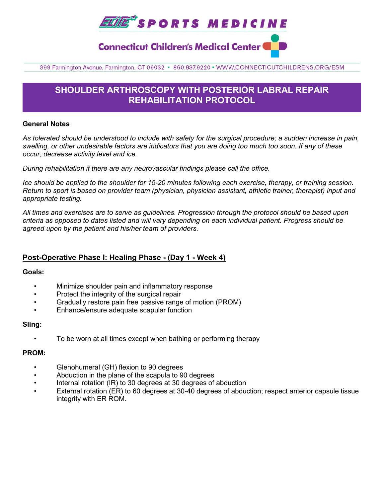

# **Connecticut Children's Medical Center**

399 Farmington Avenue, Farmington, CT 06032 · 860.837.9220 · WWW.CONNECTICUTCHILDRENS.ORG/ESM

# **SHOULDER ARTHROSCOPY WITH POSTERIOR LABRAL REPAIR REHABILITATION PROTOCOL**

#### **General Notes**

*As tolerated should be understood to include with safety for the surgical procedure; a sudden increase in pain, swelling, or other undesirable factors are indicators that you are doing too much too soon. If any of these occur, decrease activity level and ice.* 

*During rehabilitation if there are any neurovascular findings please call the office.*

*Ice should be applied to the shoulder for 15-20 minutes following each exercise, therapy, or training session. Return to sport is based on provider team (physician, physician assistant, athletic trainer, therapist) input and appropriate testing.*

*All times and exercises are to serve as guidelines. Progression through the protocol should be based upon criteria as opposed to dates listed and will vary depending on each individual patient. Progress should be agreed upon by the patient and his/her team of providers.*

## **Post-Operative Phase I: Healing Phase - (Day 1 - Week 4)**

#### **Goals:**

- Minimize shoulder pain and inflammatory response
- Protect the integrity of the surgical repair
- Gradually restore pain free passive range of motion (PROM)
- Enhance/ensure adequate scapular function

#### **Sling:**

• To be worn at all times except when bathing or performing therapy

#### **PROM:**

- Glenohumeral (GH) flexion to 90 degrees
- Abduction in the plane of the scapula to 90 degrees
- Internal rotation (IR) to 30 degrees at 30 degrees of abduction
- External rotation (ER) to 60 degrees at 30-40 degrees of abduction; respect anterior capsule tissue integrity with ER ROM.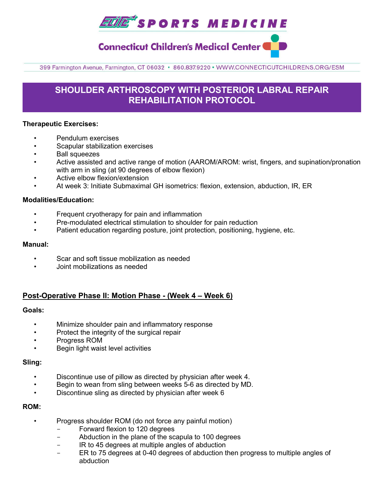**ELILE\*** SPORTS MEDICINE

# **Connecticut Children's Medical Center**

399 Farmington Avenue, Farmington, CT 06032 · 860.837.9220 · WWW.CONNECTICUTCHILDRENS.ORG/ESM

# **SHOULDER ARTHROSCOPY WITH POSTERIOR LABRAL REPAIR REHABILITATION PROTOCOL**

#### **Therapeutic Exercises:**

- Pendulum exercises
- Scapular stabilization exercises
- Ball squeezes
- Active assisted and active range of motion (AAROM/AROM: wrist, fingers, and supination/pronation with arm in sling (at 90 degrees of elbow flexion)
- Active elbow flexion/extension
- At week 3: Initiate Submaximal GH isometrics: flexion, extension, abduction, IR, ER

#### **Modalities/Education:**

- Frequent cryotherapy for pain and inflammation
- Pre-modulated electrical stimulation to shoulder for pain reduction
- Patient education regarding posture, joint protection, positioning, hygiene, etc.

#### **Manual:**

- Scar and soft tissue mobilization as needed
- Joint mobilizations as needed

## **Post-Operative Phase II: Motion Phase - (Week 4 – Week 6)**

#### **Goals:**

- Minimize shoulder pain and inflammatory response
- Protect the integrity of the surgical repair
- Progress ROM
- Begin light waist level activities

#### **Sling:**

- Discontinue use of pillow as directed by physician after week 4.
- Begin to wean from sling between weeks 5-6 as directed by MD.
- Discontinue sling as directed by physician after week 6

#### **ROM:**

- Progress shoulder ROM (do not force any painful motion)
	- Forward flexion to 120 degrees
	- Abduction in the plane of the scapula to 100 degrees
	- IR to 45 degrees at multiple angles of abduction
	- ER to 75 degrees at 0-40 degrees of abduction then progress to multiple angles of abduction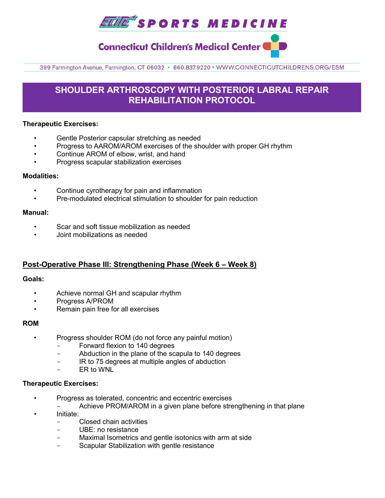**ELILE\*** SPORTS MEDICINE

**Connecticut Children's Medical Center (** 

399 Farmington Avenue, Farmington, CT 06032 · 860.837.9220 · WWW.CONNECTICUTCHILDRENS.ORG/ESM

# **SHOULDER ARTHROSCOPY WITH POSTERIOR LABRAL REPAIR REHABILITATION PROTOCOL**

#### **Therapeutic Exercises:**

- Gentle Posterior capsular stretching as needed
- Progress to AAROM/AROM exercises of the shoulder with proper GH rhythm
- Continue AROM of elbow, wrist, and hand
- Progress scapular stabilization exercises

### **Modalities:**

- Continue cyrotherapy for pain and inflammation
- Pre-modulated electrical stimulation to shoulder for pain reduction

#### **Manual:**

- Scar and soft tissue mobilization as needed
- Joint mobilizations as needed

## **Post-Operative Phase III: Strengthening Phase (Week 6 – Week 8)**

#### **Goals:**

- Achieve normal GH and scapular rhythm
- Progress A/PROM
- Remain pain free for all exercises

#### **ROM**

- Progress shoulder ROM (do not force any painful motion)
	- Forward flexion to 140 degrees
	- Abduction in the plane of the scapula to 140 degrees
	- IR to 75 degrees at multiple angles of abduction
	- ER to WNL

#### **Therapeutic Exercises:**

- Progress as tolerated, concentric and eccentric exercises
	- Achieve PROM/AROM in a given plane before strengthening in that plane
- Initiate:
	- Closed chain activities
	- UBE: no resistance
	- Maximal Isometrics and gentle isotonics with arm at side
	- Scapular Stabilization with gentle resistance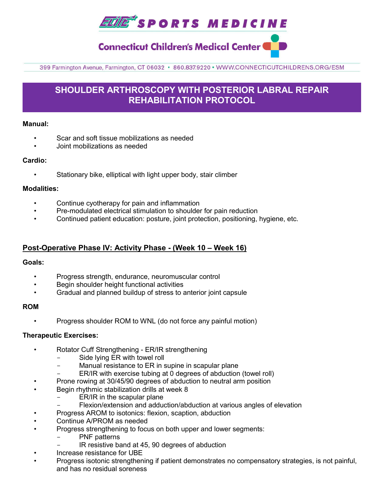**EUILE\*SPORTS MEDICINE** 

**Connecticut Children's Medical Center (** 

399 Farmington Avenue, Farmington, CT 06032 · 860.837.9220 · WWW.CONNECTICUTCHILDRENS.ORG/ESM

# **SHOULDER ARTHROSCOPY WITH POSTERIOR LABRAL REPAIR REHABILITATION PROTOCOL**

## **Manual:**

- Scar and soft tissue mobilizations as needed
- Joint mobilizations as needed

## **Cardio:**

Stationary bike, elliptical with light upper body, stair climber

## **Modalities:**

- Continue cyotherapy for pain and inflammation
- Pre-modulated electrical stimulation to shoulder for pain reduction
- Continued patient education: posture, joint protection, positioning, hygiene, etc.

## **Post-Operative Phase IV: Activity Phase - (Week 10 – Week 16)**

## **Goals:**

- Progress strength, endurance, neuromuscular control
- Begin shoulder height functional activities
- Gradual and planned buildup of stress to anterior joint capsule

## **ROM**

• Progress shoulder ROM to WNL (do not force any painful motion)

## **Therapeutic Exercises:**

- Rotator Cuff Strengthening ER/IR strengthening
	- Side lying ER with towel roll
	- Manual resistance to ER in supine in scapular plane
	- ER/IR with exercise tubing at 0 degrees of abduction (towel roll)
	- Prone rowing at 30/45/90 degrees of abduction to neutral arm position
- Begin rhythmic stabilization drills at week 8
	- ER/IR in the scapular plane
	- Flexion/extension and adduction/abduction at various angles of elevation
- Progress AROM to isotonics: flexion, scaption, abduction
- Continue A/PROM as needed
- Progress strengthening to focus on both upper and lower segments:
	- PNF patterns
		- IR resistive band at 45, 90 degrees of abduction
- Increase resistance for UBE
- Progress isotonic strengthening if patient demonstrates no compensatory strategies, is not painful, and has no residual soreness